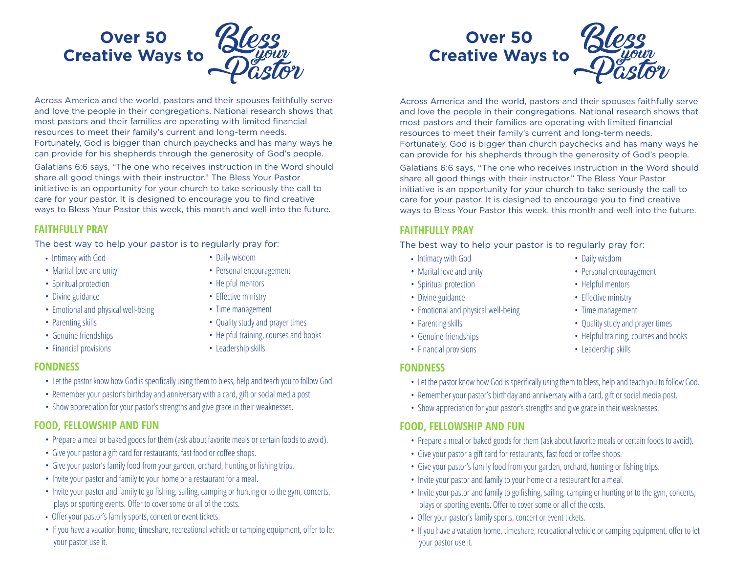# **Over 50 Creative Ways to**

Across America and the world, pastors and their spouses faithfully serve and love the people in their congregations. National research shows that most pastors and their families are operating with limited financial resources to meet their family's current and long-term needs. Fortunately, God is bigger than church paychecks and has many ways he can provide for his shepherds through the generosity of God's people.

Galatians 6:6 says, "The one who receives instruction in the Word should share all good things with their instructor." The Bless Your Pastor initiative is an opportunity for your church to take seriously the call to care for your pastor. It is designed to encourage you to find creative ways to Bless Your Pastor this week, this month and well into the future.

#### **FAITHFULLY PRAY**

The best way to help your pastor is to regularly pray for:

- Intimacy with God
- Marital love and unity
- Spiritual protection
- Divine guidance
- Emotional and physical well-being
- Parenting skills
- Genuine friendships
- Financial provisions
- Daily wisdom
- Personal encouragement
- Helpful mentors
- Effective ministry
- Time management
- Quality study and prayer times
- Helpful training, courses and books
- Leadership skills

#### **FONDNESS**

- Let the pastor know how God is specifically using them to bless, help and teach you to follow God.
- Remember your pastor's birthday and anniversary with a card, gift or social media post.
- Show appreciation for your pastor's strengths and give grace in their weaknesses.

#### **FOOD, FELLOWSHIP AND FUN**

- Prepare a meal or baked goods for them (ask about favorite meals or certain foods to avoid).
- Give your pastor a gift card for restaurants, fast food or coffee shops.
- Give your pastor's family food from your garden, orchard, hunting or fishing trips.
- Invite your pastor and family to your home or a restaurant for a meal.
- Invite your pastor and family to go fishing, sailing, camping or hunting or to the gym, concerts, plays or sporting events. Offer to cover some or all of the costs.
- Offer your pastor's family sports, concert or event tickets.
- If you have a vacation home, timeshare, recreational vehicle or camping equipment, offer to let your pastor use it.

# **Over 50 Creative Ways to**

Across America and the world, pastors and their spouses faithfully serve and love the people in their congregations. National research shows that most pastors and their families are operating with limited financial resources to meet their family's current and long-term needs. Fortunately, God is bigger than church paychecks and has many ways he can provide for his shepherds through the generosity of God's people.

Galatians 6:6 says, "The one who receives instruction in the Word should share all good things with their instructor." The Bless Your Pastor initiative is an opportunity for your church to take seriously the call to care for your pastor. It is designed to encourage you to find creative ways to Bless Your Pastor this week, this month and well into the future.

#### **FAITHFULLY PRAY**

The best way to help your pastor is to regularly pray for:

- Intimacy with God
- Marital love and unity
- Spiritual protection
- Divine guidance
- Emotional and physical well-being
- Parenting skills
- Genuine friendships
- Financial provisions

#### **FONDNESS**

- Let the pastor know how God is specifically using them to bless, help and teach you to follow God.
- Remember your pastor's birthday and anniversary with a card, gift or social media post.
- Show appreciation for your pastor's strengths and give grace in their weaknesses.

#### **FOOD, FELLOWSHIP AND FUN**

- Prepare a meal or baked goods for them (ask about favorite meals or certain foods to avoid).
- Give your pastor a gift card for restaurants, fast food or coffee shops.
- Give your pastor's family food from your garden, orchard, hunting or fishing trips.
- Invite your pastor and family to your home or a restaurant for a meal.
- Invite your pastor and family to go fishing, sailing, camping or hunting or to the gym, concerts, plays or sporting events. Offer to cover some or all of the costs.
- Offer your pastor's family sports, concert or event tickets.
- If you have a vacation home, timeshare, recreational vehicle or camping equipment, offer to let your pastor use it.
- Daily wisdom
- Personal encouragement
- Helpful mentors
- Effective ministry
- Time management
- Quality study and prayer times
- 
- Leadership skills
- -

#### • Helpful training, courses and books

- 
-